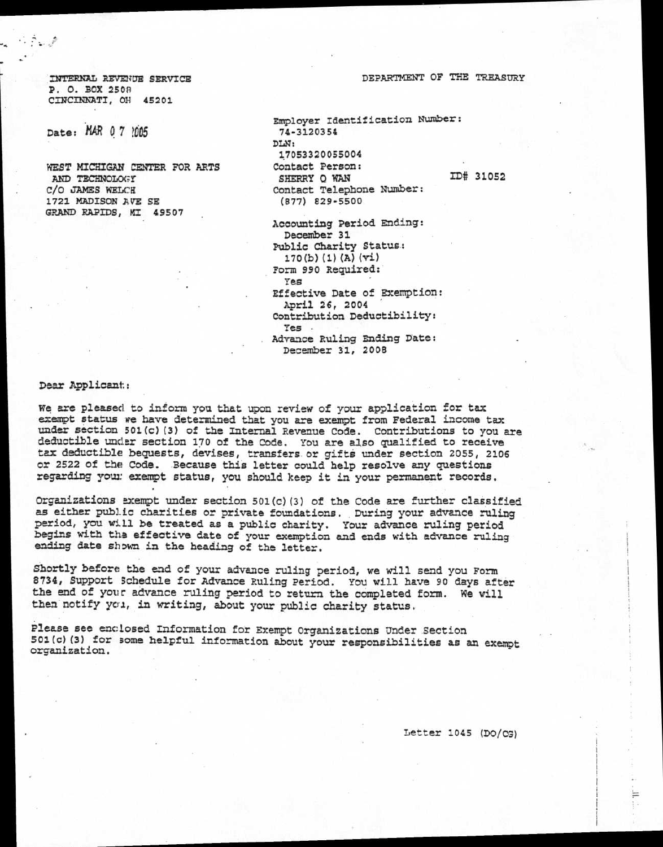DEPARTMENT OF THE TREASURY

INTEMNIL REVENUE SERVICE P. O. BOX 2508 CINCINNATI, OH 45201

Date: MAR 0 7 ?005

هي په جي تر د ...<br>من

WEST MICHIGAN CENTER FOR ARTS AND TECHNOLOGY C/O JAMES WELCH 1721 MADISON AVE SE GRAND RAPIDS, MI 49507

Employer Identification Number: 74-3120354 DLN: 17053320055004 Contact Person: SHERRY O WAN ID# 31052 Contact Telephone Number: (877) 829-5500

Accounting Period Ending: December 31 Public Charity Status: 170(b) (1) (A) (vi) Form 990 Required: Yes Effective Date of Exemption: April 26, 2004 Contribution Deductibility: Yes . Advance Ruling Ending Date: December 31, 2008

Dear Applicant:

We are pleased to inform you that upon review of your application for tax exempt status we have determined that you are exempt from Federal income tax under section 501(c) (3) of the Internal Revenue Code. Contributions to you are deductible under section 170 of the Code. You are also qualified to receive tax deductible bequests, devises, transfers. or gifts under section 2055, 2106 or 2522 of the Code. Because this letter could help resolve any questions regarding your exempt status, you should keep it in your permanent records.

Organizations exempt under section 501(c)(3) of the Code are further classified as either public charities or private foundations. During your advance ruling period, you will be treated as a public charity. Your advance ruling period begins with the effective date of your exemption and ends with advance ruling ending date shown in the heading of the letter.

Shortly before the end of your advance ruling period, we will send you Form 8734, Support Schedule for Advance Ruling Period. You will have 90 days after the end of your advance ruling period to return the completed form. We will then notify yca, in writing, about your public charity status.

Please see enclosed Information for Exempt Organizations Under Section 501(c)(3) for some helpful information about your responsibilities as an exempt organization.

Letter 1045 (DO/CG)